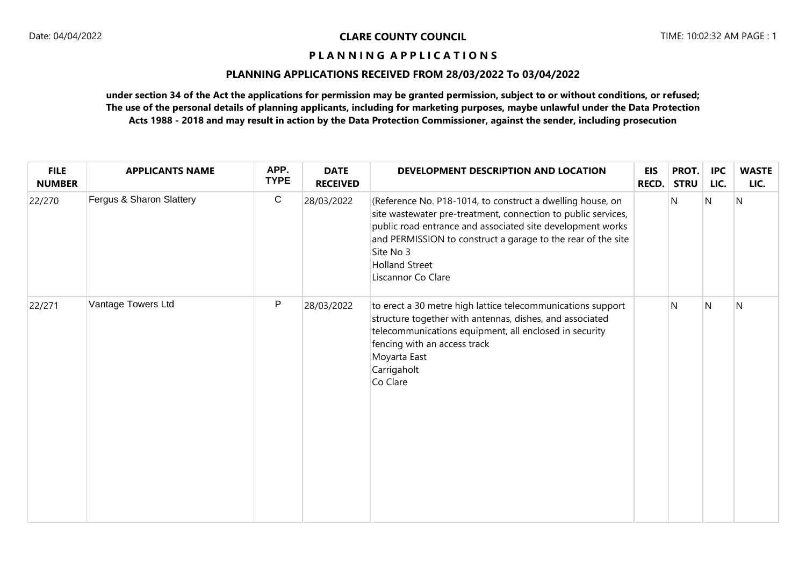## **PLANNING APPLICATIONS RECEIVED FROM 28/03/2022 To 03/04/2022**

| <b>FILE</b><br><b>NUMBER</b> | <b>APPLICANTS NAME</b>   | APP.<br><b>TYPE</b> | <b>DATE</b><br><b>RECEIVED</b> | DEVELOPMENT DESCRIPTION AND LOCATION                                                                                                                                                                                                                                                                                  | <b>EIS</b><br><b>RECD.</b> | PROT.<br><b>STRU</b> | <b>IPC</b><br>LIC. | <b>WASTE</b><br>LIC. |
|------------------------------|--------------------------|---------------------|--------------------------------|-----------------------------------------------------------------------------------------------------------------------------------------------------------------------------------------------------------------------------------------------------------------------------------------------------------------------|----------------------------|----------------------|--------------------|----------------------|
| 22/270                       | Fergus & Sharon Slattery | $\mathbf C$         | 28/03/2022                     | (Reference No. P18-1014, to construct a dwelling house, on<br>site wastewater pre-treatment, connection to public services,<br>public road entrance and associated site development works<br>and PERMISSION to construct a garage to the rear of the site<br>Site No 3<br><b>Holland Street</b><br>Liscannor Co Clare |                            | N                    | N                  | $\mathsf{N}$         |
| 22/271                       | Vantage Towers Ltd       | P                   | 28/03/2022                     | to erect a 30 metre high lattice telecommunications support<br>structure together with antennas, dishes, and associated<br>telecommunications equipment, all enclosed in security<br>fencing with an access track<br>Moyarta East<br>Carrigaholt<br>Co Clare                                                          |                            | N                    | N                  | N                    |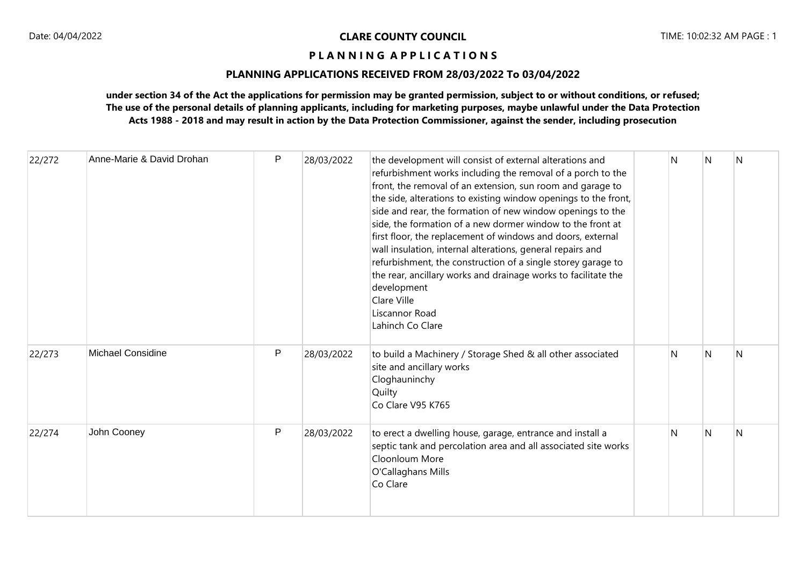# **PLANNING APPLICATIONS RECEIVED FROM 28/03/2022 To 03/04/2022**

| 22/272 | Anne-Marie & David Drohan | P | 28/03/2022 | the development will consist of external alterations and<br>refurbishment works including the removal of a porch to the<br>front, the removal of an extension, sun room and garage to<br>the side, alterations to existing window openings to the front,<br>side and rear, the formation of new window openings to the<br>side, the formation of a new dormer window to the front at<br>first floor, the replacement of windows and doors, external<br>wall insulation, internal alterations, general repairs and<br>refurbishment, the construction of a single storey garage to<br>the rear, ancillary works and drainage works to facilitate the<br>development<br>Clare Ville<br>Liscannor Road<br>Lahinch Co Clare | N | N | N |
|--------|---------------------------|---|------------|-------------------------------------------------------------------------------------------------------------------------------------------------------------------------------------------------------------------------------------------------------------------------------------------------------------------------------------------------------------------------------------------------------------------------------------------------------------------------------------------------------------------------------------------------------------------------------------------------------------------------------------------------------------------------------------------------------------------------|---|---|---|
| 22/273 | <b>Michael Considine</b>  | P | 28/03/2022 | to build a Machinery / Storage Shed & all other associated<br>site and ancillary works<br>Cloghauninchy<br>Quilty<br>Co Clare V95 K765                                                                                                                                                                                                                                                                                                                                                                                                                                                                                                                                                                                  | N | N | N |
| 22/274 | John Cooney               | P | 28/03/2022 | to erect a dwelling house, garage, entrance and install a<br>septic tank and percolation area and all associated site works<br>Cloonloum More<br>O'Callaghans Mills<br>Co Clare                                                                                                                                                                                                                                                                                                                                                                                                                                                                                                                                         | N | N | N |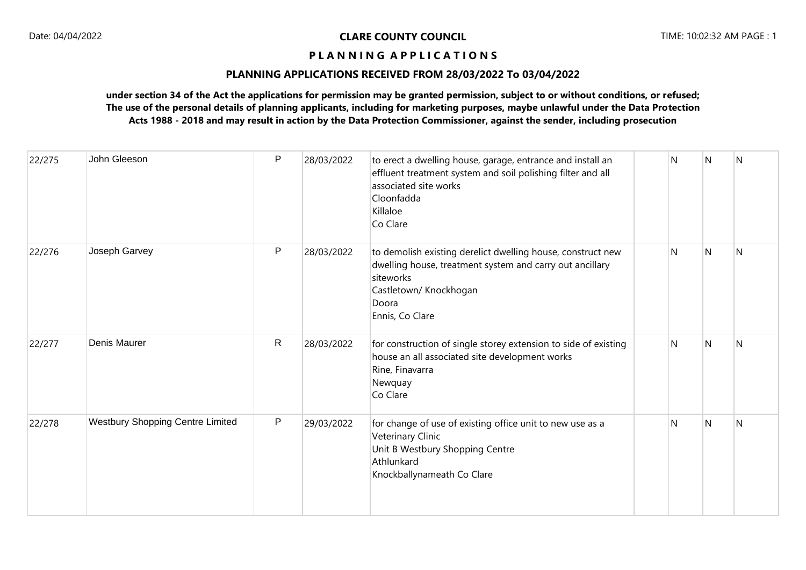## **PLANNING APPLICATIONS RECEIVED FROM 28/03/2022 To 03/04/2022**

| 22/275 | John Gleeson                     | P            | 28/03/2022 | to erect a dwelling house, garage, entrance and install an<br>effluent treatment system and soil polishing filter and all<br>associated site works<br>Cloonfadda<br>Killaloe<br>Co Clare   | N | N              | <b>N</b>     |
|--------|----------------------------------|--------------|------------|--------------------------------------------------------------------------------------------------------------------------------------------------------------------------------------------|---|----------------|--------------|
| 22/276 | Joseph Garvey                    | $\mathsf{P}$ | 28/03/2022 | to demolish existing derelict dwelling house, construct new<br>dwelling house, treatment system and carry out ancillary<br>siteworks<br>Castletown/ Knockhogan<br>Doora<br>Ennis, Co Clare | N | N              | N            |
| 22/277 | Denis Maurer                     | $\mathsf{R}$ | 28/03/2022 | for construction of single storey extension to side of existing<br>house an all associated site development works<br>Rine, Finavarra<br>Newquay<br>Co Clare                                | N | $\overline{N}$ | N            |
| 22/278 | Westbury Shopping Centre Limited | P            | 29/03/2022 | for change of use of existing office unit to new use as a<br>Veterinary Clinic<br>Unit B Westbury Shopping Centre<br>Athlunkard<br>Knockballynameath Co Clare                              | N | $\overline{N}$ | $\mathsf{N}$ |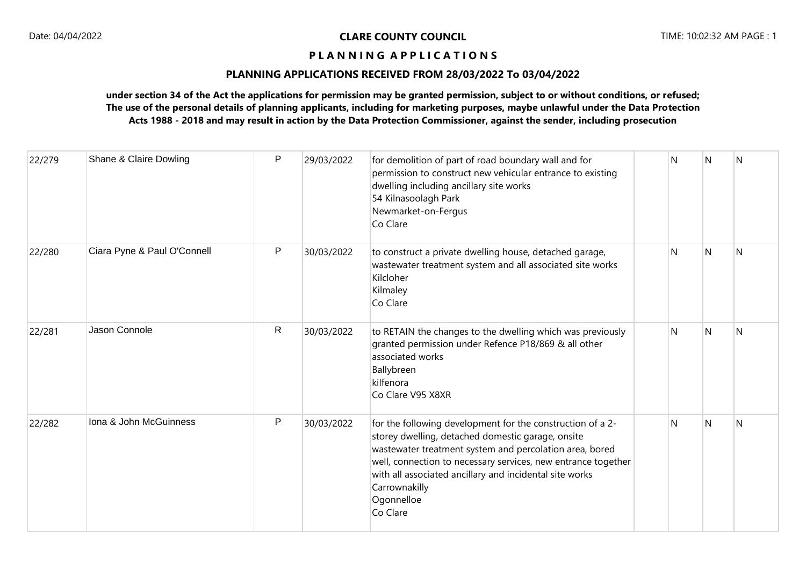# **PLANNING APPLICATIONS RECEIVED FROM 28/03/2022 To 03/04/2022**

| 22/279 | Shane & Claire Dowling      | P | 29/03/2022 | for demolition of part of road boundary wall and for<br>permission to construct new vehicular entrance to existing<br>dwelling including ancillary site works<br>54 Kilnasoolagh Park<br>Newmarket-on-Fergus<br>Co Clare                                                                                                                          | N | N   | <b>N</b> |
|--------|-----------------------------|---|------------|---------------------------------------------------------------------------------------------------------------------------------------------------------------------------------------------------------------------------------------------------------------------------------------------------------------------------------------------------|---|-----|----------|
| 22/280 | Ciara Pyne & Paul O'Connell | P | 30/03/2022 | to construct a private dwelling house, detached garage,<br>wastewater treatment system and all associated site works<br>Kilcloher<br>Kilmaley<br>Co Clare                                                                                                                                                                                         | N | N   | N        |
| 22/281 | Jason Connole               | R | 30/03/2022 | to RETAIN the changes to the dwelling which was previously<br>granted permission under Refence P18/869 & all other<br>associated works<br>Ballybreen<br>kilfenora<br>Co Clare V95 X8XR                                                                                                                                                            | N | N   | N        |
| 22/282 | Iona & John McGuinness      | P | 30/03/2022 | for the following development for the construction of a 2-<br>storey dwelling, detached domestic garage, onsite<br>wastewater treatment system and percolation area, bored<br>well, connection to necessary services, new entrance together<br>with all associated ancillary and incidental site works<br>Carrownakilly<br>Ogonnelloe<br>Co Clare | N | IN. | N        |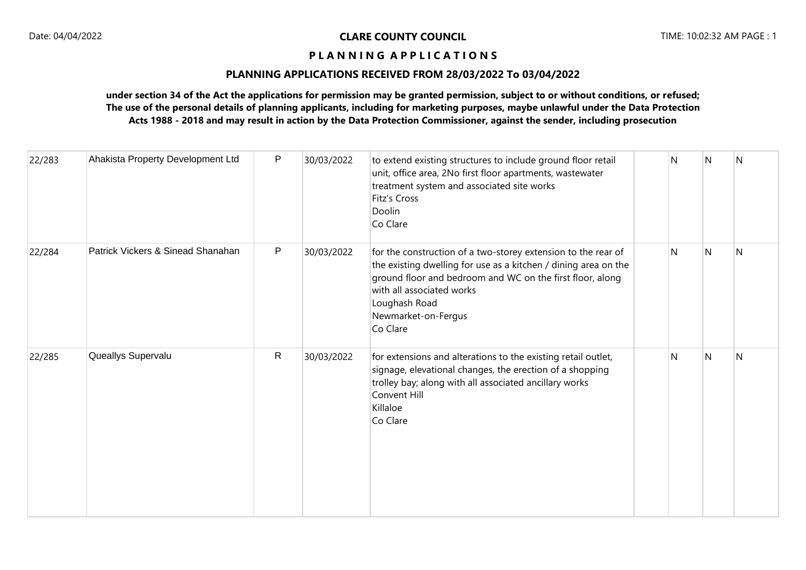# **PLANNING APPLICATIONS RECEIVED FROM 28/03/2022 To 03/04/2022**

| 22/283 | Ahakista Property Development Ltd | P            | 30/03/2022 | to extend existing structures to include ground floor retail<br>unit, office area, 2No first floor apartments, wastewater<br>treatment system and associated site works<br>Fitz's Cross<br>Doolin<br>Co Clare                                                                  | N | N              | N |
|--------|-----------------------------------|--------------|------------|--------------------------------------------------------------------------------------------------------------------------------------------------------------------------------------------------------------------------------------------------------------------------------|---|----------------|---|
| 22/284 | Patrick Vickers & Sinead Shanahan | P            | 30/03/2022 | for the construction of a two-storey extension to the rear of<br>the existing dwelling for use as a kitchen / dining area on the<br>ground floor and bedroom and WC on the first floor, along<br>with all associated works<br>Loughash Road<br>Newmarket-on-Fergus<br>Co Clare | N | $\overline{N}$ | N |
| 22/285 | Queallys Supervalu                | $\mathsf{R}$ | 30/03/2022 | for extensions and alterations to the existing retail outlet,<br>signage, elevational changes, the erection of a shopping<br>trolley bay; along with all associated ancillary works<br>Convent Hill<br>Killaloe<br>Co Clare                                                    | N | N              | N |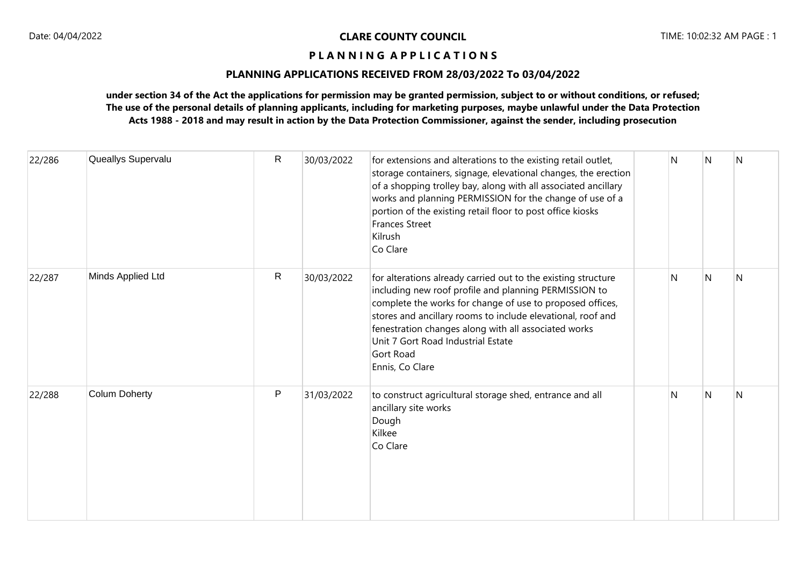# **PLANNING APPLICATIONS RECEIVED FROM 28/03/2022 To 03/04/2022**

| 22/286 | Queallys Supervalu   | $\mathsf{R}$ | 30/03/2022 | for extensions and alterations to the existing retail outlet,<br>storage containers, signage, elevational changes, the erection<br>of a shopping trolley bay, along with all associated ancillary<br>works and planning PERMISSION for the change of use of a<br>portion of the existing retail floor to post office kiosks<br><b>Frances Street</b><br>Kilrush<br>Co Clare      | N  | IN.            | N |
|--------|----------------------|--------------|------------|----------------------------------------------------------------------------------------------------------------------------------------------------------------------------------------------------------------------------------------------------------------------------------------------------------------------------------------------------------------------------------|----|----------------|---|
| 22/287 | Minds Applied Ltd    | $\mathsf{R}$ | 30/03/2022 | for alterations already carried out to the existing structure<br>including new roof profile and planning PERMISSION to<br>complete the works for change of use to proposed offices,<br>stores and ancillary rooms to include elevational, roof and<br>fenestration changes along with all associated works<br>Unit 7 Gort Road Industrial Estate<br>Gort Road<br>Ennis, Co Clare | N  | $\overline{N}$ | N |
| 22/288 | <b>Colum Doherty</b> | $\mathsf{P}$ | 31/03/2022 | to construct agricultural storage shed, entrance and all<br>ancillary site works<br>Dough<br>Kilkee<br>Co Clare                                                                                                                                                                                                                                                                  | N. | N              | N |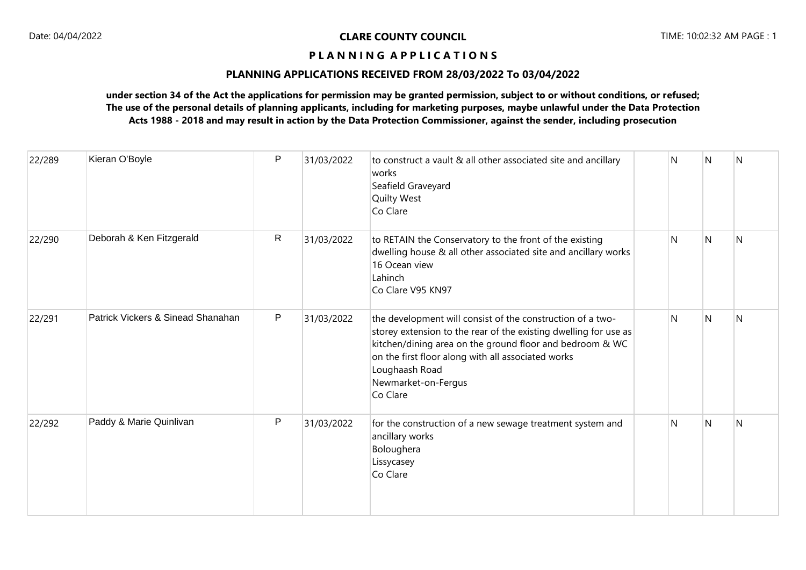# **PLANNING APPLICATIONS RECEIVED FROM 28/03/2022 To 03/04/2022**

| 22/289 | Kieran O'Boyle                    | P | 31/03/2022 | to construct a vault & all other associated site and ancillary<br>works<br>Seafield Graveyard<br><b>Quilty West</b><br>Co Clare                                                                                                                                                                       | N | N | N |
|--------|-----------------------------------|---|------------|-------------------------------------------------------------------------------------------------------------------------------------------------------------------------------------------------------------------------------------------------------------------------------------------------------|---|---|---|
| 22/290 | Deborah & Ken Fitzgerald          | R | 31/03/2022 | to RETAIN the Conservatory to the front of the existing<br>dwelling house & all other associated site and ancillary works<br>16 Ocean view<br>Lahinch<br>Co Clare V95 KN97                                                                                                                            | N | N | N |
| 22/291 | Patrick Vickers & Sinead Shanahan | P | 31/03/2022 | the development will consist of the construction of a two-<br>storey extension to the rear of the existing dwelling for use as<br>kitchen/dining area on the ground floor and bedroom & WC<br>on the first floor along with all associated works<br>Loughaash Road<br>Newmarket-on-Fergus<br>Co Clare | N | N | N |
| 22/292 | Paddy & Marie Quinlivan           | P | 31/03/2022 | for the construction of a new sewage treatment system and<br>ancillary works<br>Boloughera<br>Lissycasey<br>Co Clare                                                                                                                                                                                  | N | N | N |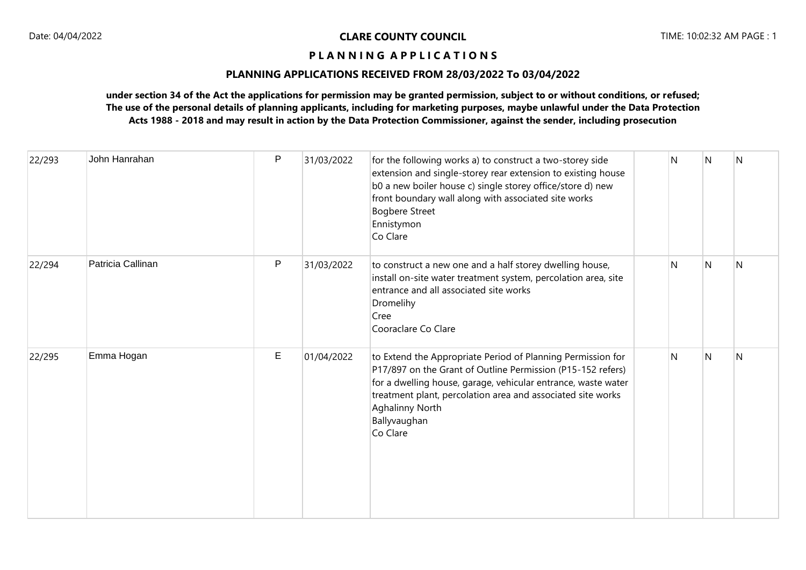# **PLANNING APPLICATIONS RECEIVED FROM 28/03/2022 To 03/04/2022**

| 22/293 | John Hanrahan     | P | 31/03/2022 | for the following works a) to construct a two-storey side<br>extension and single-storey rear extension to existing house<br>b0 a new boiler house c) single storey office/store d) new<br>front boundary wall along with associated site works<br><b>Bogbere Street</b><br>Ennistymon<br>Co Clare               | N | N | N |
|--------|-------------------|---|------------|------------------------------------------------------------------------------------------------------------------------------------------------------------------------------------------------------------------------------------------------------------------------------------------------------------------|---|---|---|
| 22/294 | Patricia Callinan | P | 31/03/2022 | to construct a new one and a half storey dwelling house,<br>install on-site water treatment system, percolation area, site<br>entrance and all associated site works<br>Dromelihy<br>Cree<br>Cooraclare Co Clare                                                                                                 | N | N | N |
| 22/295 | Emma Hogan        | E | 01/04/2022 | to Extend the Appropriate Period of Planning Permission for<br>P17/897 on the Grant of Outline Permission (P15-152 refers)<br>for a dwelling house, garage, vehicular entrance, waste water<br>treatment plant, percolation area and associated site works<br><b>Aghalinny North</b><br>Ballyvaughan<br>Co Clare | N | N | N |